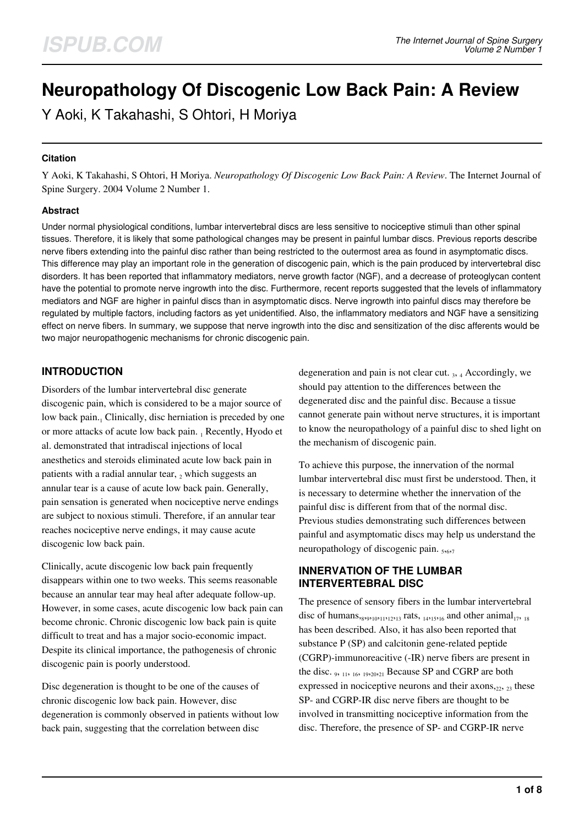# **Neuropathology Of Discogenic Low Back Pain: A Review**

Y Aoki, K Takahashi, S Ohtori, H Moriya

#### **Citation**

Y Aoki, K Takahashi, S Ohtori, H Moriya. *Neuropathology Of Discogenic Low Back Pain: A Review*. The Internet Journal of Spine Surgery. 2004 Volume 2 Number 1.

#### **Abstract**

Under normal physiological conditions, lumbar intervertebral discs are less sensitive to nociceptive stimuli than other spinal tissues. Therefore, it is likely that some pathological changes may be present in painful lumbar discs. Previous reports describe nerve fibers extending into the painful disc rather than being restricted to the outermost area as found in asymptomatic discs. This difference may play an important role in the generation of discogenic pain, which is the pain produced by intervertebral disc disorders. It has been reported that inflammatory mediators, nerve growth factor (NGF), and a decrease of proteoglycan content have the potential to promote nerve ingrowth into the disc. Furthermore, recent reports suggested that the levels of inflammatory mediators and NGF are higher in painful discs than in asymptomatic discs. Nerve ingrowth into painful discs may therefore be regulated by multiple factors, including factors as yet unidentified. Also, the inflammatory mediators and NGF have a sensitizing effect on nerve fibers. In summary, we suppose that nerve ingrowth into the disc and sensitization of the disc afferents would be two major neuropathogenic mechanisms for chronic discogenic pain.

## **INTRODUCTION**

Disorders of the lumbar intervertebral disc generate discogenic pain, which is considered to be a major source of low back pain.<sub>1</sub> Clinically, disc herniation is preceded by one or more attacks of acute low back pain. 1 Recently, Hyodo et al. demonstrated that intradiscal injections of local anesthetics and steroids eliminated acute low back pain in patients with a radial annular tear,  $_2$  which suggests an annular tear is a cause of acute low back pain. Generally, pain sensation is generated when nociceptive nerve endings are subject to noxious stimuli. Therefore, if an annular tear reaches nociceptive nerve endings, it may cause acute discogenic low back pain.

Clinically, acute discogenic low back pain frequently disappears within one to two weeks. This seems reasonable because an annular tear may heal after adequate follow-up. However, in some cases, acute discogenic low back pain can become chronic. Chronic discogenic low back pain is quite difficult to treat and has a major socio-economic impact. Despite its clinical importance, the pathogenesis of chronic discogenic pain is poorly understood.

Disc degeneration is thought to be one of the causes of chronic discogenic low back pain. However, disc degeneration is commonly observed in patients without low back pain, suggesting that the correlation between disc

degeneration and pain is not clear cut. 3, 4 Accordingly, we should pay attention to the differences between the degenerated disc and the painful disc. Because a tissue cannot generate pain without nerve structures, it is important to know the neuropathology of a painful disc to shed light on the mechanism of discogenic pain.

To achieve this purpose, the innervation of the normal lumbar intervertebral disc must first be understood. Then, it is necessary to determine whether the innervation of the painful disc is different from that of the normal disc. Previous studies demonstrating such differences between painful and asymptomatic discs may help us understand the neuropathology of discogenic pain. 5,6,7

### **INNERVATION OF THE LUMBAR INTERVERTEBRAL DISC**

The presence of sensory fibers in the lumbar intervertebral disc of humans,  $_{8,9,10,11,12,13}$  rats,  $_{14,15,16}$  and other animal<sub>17</sub>,  $_{18}$ has been described. Also, it has also been reported that substance P (SP) and calcitonin gene-related peptide (CGRP)-immunoreacitive (-IR) nerve fibers are present in the disc. <sup>9</sup> , 11, 16, 19,20,21 Because SP and CGRP are both expressed in nociceptive neurons and their  $axons<sub>,22</sub>, 23$  these SP- and CGRP-IR disc nerve fibers are thought to be involved in transmitting nociceptive information from the disc. Therefore, the presence of SP- and CGRP-IR nerve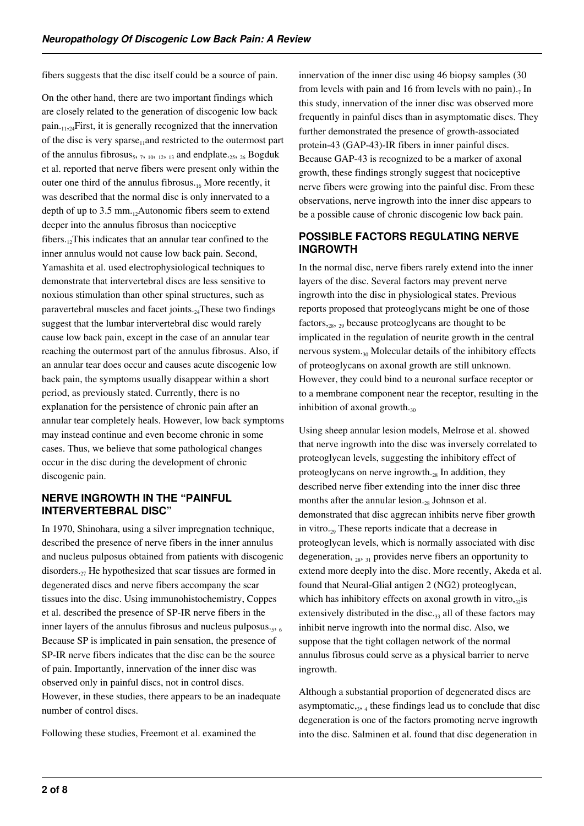fibers suggests that the disc itself could be a source of pain.

On the other hand, there are two important findings which are closely related to the generation of discogenic low back  $p_{\text{ain},11,24}$ First, it is generally recognized that the innervation of the disc is very sparse<sub>11</sub>and restricted to the outermost part of the annulus fibrosus<sub>5</sub>,  $7, 10, 12, 13$  and endplate.<sub>25</sub>,  $_{26}$  Bogduk et al. reported that nerve fibers were present only within the outer one third of the annulus fibrosus. $_{16}$  More recently, it was described that the normal disc is only innervated to a depth of up to 3.5 mm. $_{12}$ Autonomic fibers seem to extend deeper into the annulus fibrosus than nociceptive fibers. $12$ This indicates that an annular tear confined to the inner annulus would not cause low back pain. Second, Yamashita et al. used electrophysiological techniques to demonstrate that intervertebral discs are less sensitive to noxious stimulation than other spinal structures, such as paravertebral muscles and facet joints.<sub>24</sub>These two findings suggest that the lumbar intervertebral disc would rarely cause low back pain, except in the case of an annular tear reaching the outermost part of the annulus fibrosus. Also, if an annular tear does occur and causes acute discogenic low back pain, the symptoms usually disappear within a short period, as previously stated. Currently, there is no explanation for the persistence of chronic pain after an annular tear completely heals. However, low back symptoms may instead continue and even become chronic in some cases. Thus, we believe that some pathological changes occur in the disc during the development of chronic discogenic pain.

#### **NERVE INGROWTH IN THE "PAINFUL INTERVERTEBRAL DISC"**

In 1970, Shinohara, using a silver impregnation technique, described the presence of nerve fibers in the inner annulus and nucleus pulposus obtained from patients with discogenic disorders. $_{27}$  He hypothesized that scar tissues are formed in degenerated discs and nerve fibers accompany the scar tissues into the disc. Using immunohistochemistry, Coppes et al. described the presence of SP-IR nerve fibers in the inner layers of the annulus fibrosus and nucleus pulposus. $_5$ , 6 Because SP is implicated in pain sensation, the presence of SP-IR nerve fibers indicates that the disc can be the source of pain. Importantly, innervation of the inner disc was observed only in painful discs, not in control discs. However, in these studies, there appears to be an inadequate number of control discs.

Following these studies, Freemont et al. examined the

innervation of the inner disc using 46 biopsy samples (30 from levels with pain and 16 from levels with no pain). $<sub>7</sub>$  In</sub> this study, innervation of the inner disc was observed more frequently in painful discs than in asymptomatic discs. They further demonstrated the presence of growth-associated protein-43 (GAP-43)-IR fibers in inner painful discs. Because GAP-43 is recognized to be a marker of axonal growth, these findings strongly suggest that nociceptive nerve fibers were growing into the painful disc. From these observations, nerve ingrowth into the inner disc appears to be a possible cause of chronic discogenic low back pain.

#### **POSSIBLE FACTORS REGULATING NERVE INGROWTH**

In the normal disc, nerve fibers rarely extend into the inner layers of the disc. Several factors may prevent nerve ingrowth into the disc in physiological states. Previous reports proposed that proteoglycans might be one of those factors,28, 29 because proteoglycans are thought to be implicated in the regulation of neurite growth in the central nervous system. $_{30}$  Molecular details of the inhibitory effects of proteoglycans on axonal growth are still unknown. However, they could bind to a neuronal surface receptor or to a membrane component near the receptor, resulting in the inhibition of axonal growth. $_{30}$ 

Using sheep annular lesion models, Melrose et al. showed that nerve ingrowth into the disc was inversely correlated to proteoglycan levels, suggesting the inhibitory effect of proteoglycans on nerve ingrowth. $_{28}$  In addition, they described nerve fiber extending into the inner disc three months after the annular lesion. $_{28}$  Johnson et al. demonstrated that disc aggrecan inhibits nerve fiber growth in vitro.<sub>29</sub> These reports indicate that a decrease in proteoglycan levels, which is normally associated with disc degeneration,  $_{28}$ ,  $_{31}$  provides nerve fibers an opportunity to extend more deeply into the disc. More recently, Akeda et al. found that Neural-Glial antigen 2 (NG2) proteoglycan, which has inhibitory effects on axonal growth in vitro, $\alpha$ <sup>is</sup> extensively distributed in the disc. $33$  all of these factors may inhibit nerve ingrowth into the normal disc. Also, we suppose that the tight collagen network of the normal annulus fibrosus could serve as a physical barrier to nerve ingrowth.

Although a substantial proportion of degenerated discs are asymptomatic, $3, 4$  these findings lead us to conclude that disc degeneration is one of the factors promoting nerve ingrowth into the disc. Salminen et al. found that disc degeneration in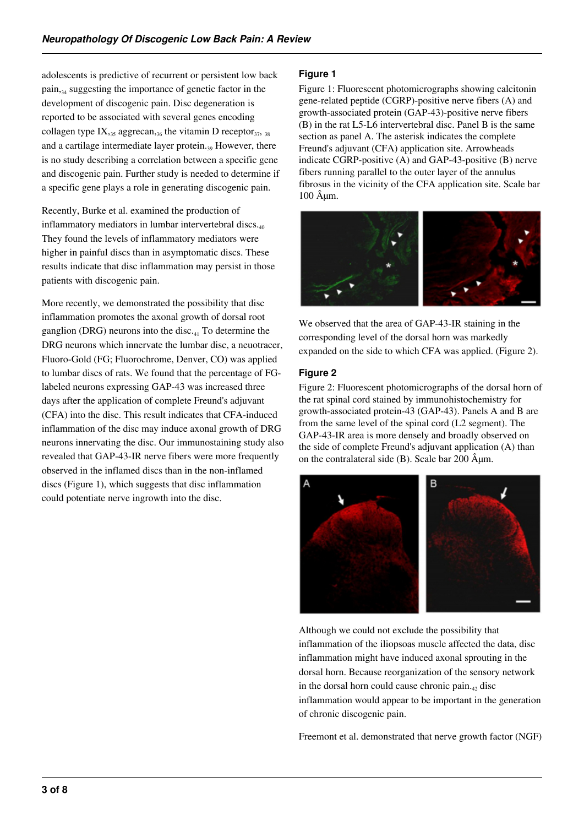adolescents is predictive of recurrent or persistent low back pain,<sub>34</sub> suggesting the importance of genetic factor in the development of discogenic pain. Disc degeneration is reported to be associated with several genes encoding collagen type  $IX_{,35}$  aggrecan, 36 the vitamin D receptor  $_{37}$ ,  $_{38}$ and a cartilage intermediate layer protein. $_{30}$  However, there is no study describing a correlation between a specific gene and discogenic pain. Further study is needed to determine if a specific gene plays a role in generating discogenic pain.

Recently, Burke et al. examined the production of inflammatory mediators in lumbar intervertebral discs. $_{40}$ They found the levels of inflammatory mediators were higher in painful discs than in asymptomatic discs. These results indicate that disc inflammation may persist in those patients with discogenic pain.

More recently, we demonstrated the possibility that disc inflammation promotes the axonal growth of dorsal root ganglion (DRG) neurons into the disc. $_{41}$  To determine the DRG neurons which innervate the lumbar disc, a neuotracer, Fluoro-Gold (FG; Fluorochrome, Denver, CO) was applied to lumbar discs of rats. We found that the percentage of FGlabeled neurons expressing GAP-43 was increased three days after the application of complete Freund's adjuvant (CFA) into the disc. This result indicates that CFA-induced inflammation of the disc may induce axonal growth of DRG neurons innervating the disc. Our immunostaining study also revealed that GAP-43-IR nerve fibers were more frequently observed in the inflamed discs than in the non-inflamed discs (Figure 1), which suggests that disc inflammation could potentiate nerve ingrowth into the disc.

#### **Figure 1**

Figure 1: Fluorescent photomicrographs showing calcitonin gene-related peptide (CGRP)-positive nerve fibers (A) and growth-associated protein (GAP-43)-positive nerve fibers (B) in the rat L5-L6 intervertebral disc. Panel B is the same section as panel A. The asterisk indicates the complete Freund's adjuvant (CFA) application site. Arrowheads indicate CGRP-positive (A) and GAP-43-positive (B) nerve fibers running parallel to the outer layer of the annulus fibrosus in the vicinity of the CFA application site. Scale bar  $100$   $\hat{A}$  $\mu$ m.



We observed that the area of GAP-43-IR staining in the corresponding level of the dorsal horn was markedly expanded on the side to which CFA was applied. (Figure 2).

#### **Figure 2**

Figure 2: Fluorescent photomicrographs of the dorsal horn of the rat spinal cord stained by immunohistochemistry for growth-associated protein-43 (GAP-43). Panels A and B are from the same level of the spinal cord (L2 segment). The GAP-43-IR area is more densely and broadly observed on the side of complete Freund's adjuvant application (A) than on the contralateral side  $(B)$ . Scale bar 200  $\hat{A}$  $\mu$ m.



Although we could not exclude the possibility that inflammation of the iliopsoas muscle affected the data, disc inflammation might have induced axonal sprouting in the dorsal horn. Because reorganization of the sensory network in the dorsal horn could cause chronic pain. $_4$  disc inflammation would appear to be important in the generation of chronic discogenic pain.

Freemont et al. demonstrated that nerve growth factor (NGF)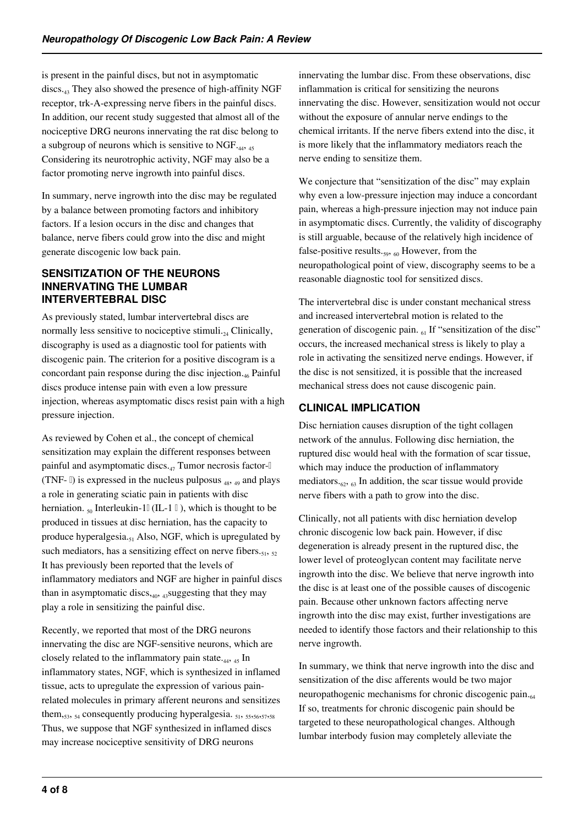is present in the painful discs, but not in asymptomatic discs.43 They also showed the presence of high-affinity NGF receptor, trk-A-expressing nerve fibers in the painful discs. In addition, our recent study suggested that almost all of the nociceptive DRG neurons innervating the rat disc belong to a subgroup of neurons which is sensitive to NGF. $_{44}$ ,  $_{45}$ Considering its neurotrophic activity, NGF may also be a factor promoting nerve ingrowth into painful discs.

In summary, nerve ingrowth into the disc may be regulated by a balance between promoting factors and inhibitory factors. If a lesion occurs in the disc and changes that balance, nerve fibers could grow into the disc and might generate discogenic low back pain.

#### **SENSITIZATION OF THE NEURONS INNERVATING THE LUMBAR INTERVERTEBRAL DISC**

As previously stated, lumbar intervertebral discs are normally less sensitive to nociceptive stimuli. $_{24}$  Clinically, discography is used as a diagnostic tool for patients with discogenic pain. The criterion for a positive discogram is a concordant pain response during the disc injection. $_{46}$  Painful discs produce intense pain with even a low pressure injection, whereas asymptomatic discs resist pain with a high pressure injection.

As reviewed by Cohen et al., the concept of chemical sensitization may explain the different responses between painful and asymptomatic discs. $47$  Tumor necrosis factor- $\mathbb{I}$ (TNF-  $\parallel$ ) is expressed in the nucleus pulposus  $_{48, 49}$  and plays a role in generating sciatic pain in patients with disc herniation.  $_{50}$  Interleukin-1 $\parallel$  (IL-1 $\parallel$ ), which is thought to be produced in tissues at disc herniation, has the capacity to produce hyperalgesia. $_{51}$  Also, NGF, which is upregulated by such mediators, has a sensitizing effect on nerve fibers. $_{51}$ ,  $_{52}$ It has previously been reported that the levels of inflammatory mediators and NGF are higher in painful discs than in asymptomatic discs, $40, 43$ suggesting that they may play a role in sensitizing the painful disc.

Recently, we reported that most of the DRG neurons innervating the disc are NGF-sensitive neurons, which are closely related to the inflammatory pain state.<sub>44, 45</sub> In inflammatory states, NGF, which is synthesized in inflamed tissue, acts to upregulate the expression of various painrelated molecules in primary afferent neurons and sensitizes them, $_{53}$ ,  $_{54}$  consequently producing hyperalgesia.  $_{51}$ ,  $_{55}$ ,  $_{56}$ ,  $_{57}$ ,  $_{58}$ Thus, we suppose that NGF synthesized in inflamed discs may increase nociceptive sensitivity of DRG neurons

innervating the lumbar disc. From these observations, disc inflammation is critical for sensitizing the neurons innervating the disc. However, sensitization would not occur without the exposure of annular nerve endings to the chemical irritants. If the nerve fibers extend into the disc, it is more likely that the inflammatory mediators reach the nerve ending to sensitize them.

We conjecture that "sensitization of the disc" may explain why even a low-pressure injection may induce a concordant pain, whereas a high-pressure injection may not induce pain in asymptomatic discs. Currently, the validity of discography is still arguable, because of the relatively high incidence of false-positive results. $_{59, 60}$  However, from the neuropathological point of view, discography seems to be a reasonable diagnostic tool for sensitized discs.

The intervertebral disc is under constant mechanical stress and increased intervertebral motion is related to the generation of discogenic pain.  $_{61}$  If "sensitization of the disc" occurs, the increased mechanical stress is likely to play a role in activating the sensitized nerve endings. However, if the disc is not sensitized, it is possible that the increased mechanical stress does not cause discogenic pain.

# **CLINICAL IMPLICATION**

Disc herniation causes disruption of the tight collagen network of the annulus. Following disc herniation, the ruptured disc would heal with the formation of scar tissue, which may induce the production of inflammatory mediators. $\epsilon_6$ ,  $\epsilon_3$  In addition, the scar tissue would provide nerve fibers with a path to grow into the disc.

Clinically, not all patients with disc herniation develop chronic discogenic low back pain. However, if disc degeneration is already present in the ruptured disc, the lower level of proteoglycan content may facilitate nerve ingrowth into the disc. We believe that nerve ingrowth into the disc is at least one of the possible causes of discogenic pain. Because other unknown factors affecting nerve ingrowth into the disc may exist, further investigations are needed to identify those factors and their relationship to this nerve ingrowth.

In summary, we think that nerve ingrowth into the disc and sensitization of the disc afferents would be two major neuropathogenic mechanisms for chronic discogenic pain.<sub>64</sub> If so, treatments for chronic discogenic pain should be targeted to these neuropathological changes. Although lumbar interbody fusion may completely alleviate the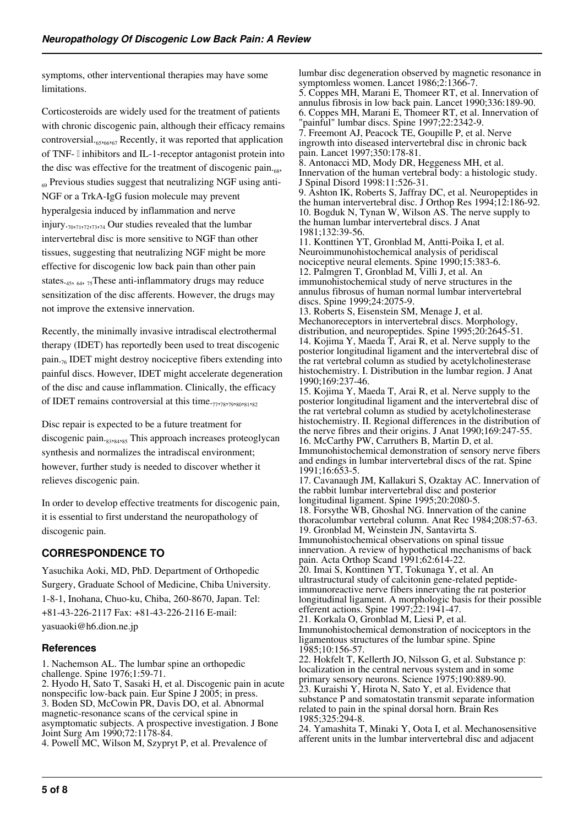symptoms, other interventional therapies may have some limitations.

Corticosteroids are widely used for the treatment of patients with chronic discogenic pain, although their efficacy remains controversial. $_{65,66,67}$  Recently, it was reported that application of TNF- I inhibitors and IL-1-receptor antagonist protein into the disc was effective for the treatment of discogenic pain. $\epsilon_{\rm ss}$ ,  $_{69}$  Previous studies suggest that neutralizing NGF using anti-NGF or a TrkA-IgG fusion molecule may prevent hyperalgesia induced by inflammation and nerve injury.<sub>70</sub>,<sub>71</sub>,<sub>72</sub>,<sub>73</sub>,<sub>74</sub> Our studies revealed that the lumbar intervertebral disc is more sensitive to NGF than other tissues, suggesting that neutralizing NGF might be more effective for discogenic low back pain than other pain states.<sub>45</sub>,  $_{64}$ ,  $_{75}$ These anti-inflammatory drugs may reduce sensitization of the disc afferents. However, the drugs may not improve the extensive innervation.

Recently, the minimally invasive intradiscal electrothermal therapy (IDET) has reportedly been used to treat discogenic pain. $_{76}$  IDET might destroy nociceptive fibers extending into painful discs. However, IDET might accelerate degeneration of the disc and cause inflammation. Clinically, the efficacy of IDET remains controversial at this time.<sub>77,78</sub>,<sub>79</sub>,<sub>80</sub>,<sub>81</sub>,<sub>82</sub>

Disc repair is expected to be a future treatment for discogenic pain.<sub>83,84,85</sub> This approach increases proteoglycan synthesis and normalizes the intradiscal environment; however, further study is needed to discover whether it relieves discogenic pain.

In order to develop effective treatments for discogenic pain, it is essential to first understand the neuropathology of discogenic pain.

# **CORRESPONDENCE TO**

Yasuchika Aoki, MD, PhD. Department of Orthopedic Surgery, Graduate School of Medicine, Chiba University. 1-8-1, Inohana, Chuo-ku, Chiba, 260-8670, Japan. Tel: +81-43-226-2117 Fax: +81-43-226-2116 E-mail: yasuaoki@h6.dion.ne.jp

#### **References**

1. Nachemson AL. The lumbar spine an orthopedic challenge. Spine 1976;1:59-71.

2. Hyodo H, Sato T, Sasaki H, et al. Discogenic pain in acute nonspecific low-back pain. Eur Spine J 2005; in press. 3. Boden SD, McCowin PR, Davis DO, et al. Abnormal magnetic-resonance scans of the cervical spine in asymptomatic subjects. A prospective investigation. J Bone Joint Surg Am 1990;72:1178-84.

4. Powell MC, Wilson M, Szypryt P, et al. Prevalence of

lumbar disc degeneration observed by magnetic resonance in symptomless women. Lancet 1986;2:1366-7.

5. Coppes MH, Marani E, Thomeer RT, et al. Innervation of annulus fibrosis in low back pain. Lancet 1990;336:189-90. 6. Coppes MH, Marani E, Thomeer RT, et al. Innervation of

"painful" lumbar discs. Spine 1997;22:2342-9. 7. Freemont AJ, Peacock TE, Goupille P, et al. Nerve ingrowth into diseased intervertebral disc in chronic back pain. Lancet 1997;350:178-81.

8. Antonacci MD, Mody DR, Heggeness MH, et al. Innervation of the human vertebral body: a histologic study. J Spinal Disord 1998:11:526-31.

9. Ashton IK, Roberts S, Jaffray DC, et al. Neuropeptides in the human intervertebral disc. J Orthop Res 1994;12:186-92. 10. Bogduk N, Tynan W, Wilson AS. The nerve supply to the human lumbar intervertebral discs. J Anat 1981;132:39-56.

11. Konttinen YT, Gronblad M, Antti-Poika I, et al. Neuroimmunohistochemical analysis of peridiscal nociceptive neural elements. Spine 1990;15:383-6. 12. Palmgren T, Gronblad M, Villi J, et al. An immunohistochemical study of nerve structures in the annulus fibrosus of human normal lumbar intervertebral discs. Spine 1999;24:2075-9.

13. Roberts S, Eisenstein SM, Menage J, et al. Mechanoreceptors in intervertebral discs. Morphology, distribution, and neuropeptides. Spine 1995;20:2645-51. 14. Kojima Y, Maeda T, Arai R, et al. Nerve supply to the posterior longitudinal ligament and the intervertebral disc of the rat vertebral column as studied by acetylcholinesterase histochemistry. I. Distribution in the lumbar region. J Anat 1990;169:237-46.

15. Kojima Y, Maeda T, Arai R, et al. Nerve supply to the posterior longitudinal ligament and the intervertebral disc of the rat vertebral column as studied by acetylcholinesterase histochemistry. II. Regional differences in the distribution of the nerve fibres and their origins. J Anat 1990;169:247-55. 16. McCarthy PW, Carruthers B, Martin D, et al. Immunohistochemical demonstration of sensory nerve fibers and endings in lumbar intervertebral discs of the rat. Spine 1991;16:653-5.

17. Cavanaugh JM, Kallakuri S, Ozaktay AC. Innervation of the rabbit lumbar intervertebral disc and posterior longitudinal ligament. Spine 1995;20:2080-5. 18. Forsythe WB, Ghoshal NG. Innervation of the canine thoracolumbar vertebral column. Anat Rec 1984;208:57-63.

19. Gronblad M, Weinstein JN, Santavirta S. Immunohistochemical observations on spinal tissue innervation. A review of hypothetical mechanisms of back pain. Acta Orthop Scand 1991;62:614-22.

20. Imai S, Konttinen YT, Tokunaga Y, et al. An ultrastructural study of calcitonin gene-related peptideimmunoreactive nerve fibers innervating the rat posterior longitudinal ligament. A morphologic basis for their possible efferent actions. Spine  $1997;22:1941-47$ .

21. Korkala O, Gronblad M, Liesi P, et al.

Immunohistochemical demonstration of nociceptors in the ligamentous structures of the lumbar spine. Spine 1985;10:156-57.

22. Hokfelt T, Kellerth JO, Nilsson G, et al. Substance p: localization in the central nervous system and in some primary sensory neurons. Science 1975;190:889-90. 23. Kuraishi Y, Hirota N, Sato Y, et al. Evidence that substance P and somatostatin transmit separate information related to pain in the spinal dorsal horn. Brain Res 1985;325:294-8.

24. Yamashita T, Minaki Y, Oota I, et al. Mechanosensitive afferent units in the lumbar intervertebral disc and adjacent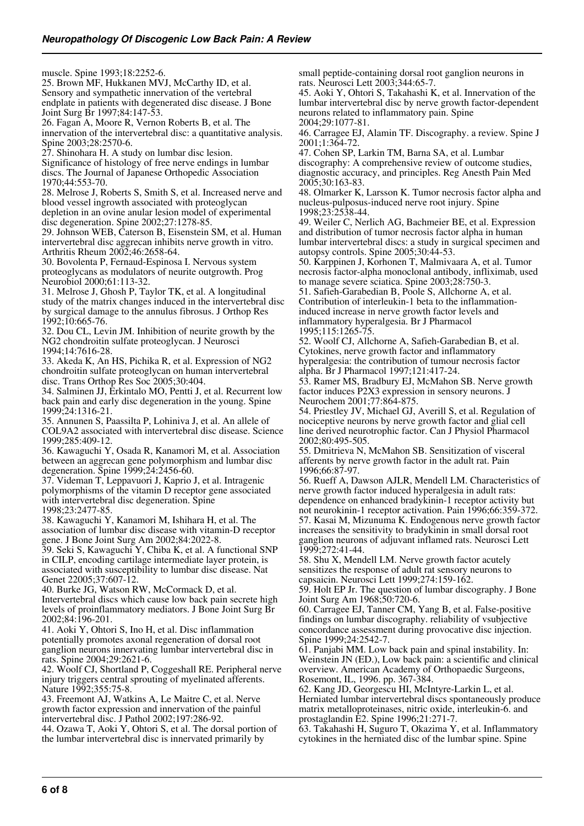muscle. Spine 1993;18:2252-6.

25. Brown MF, Hukkanen MVJ, McCarthy ID, et al. Sensory and sympathetic innervation of the vertebral endplate in patients with degenerated disc disease. J Bone Joint Surg Br 1997;84:147-53.

26. Fagan A, Moore R, Vernon Roberts B, et al. The innervation of the intervertebral disc: a quantitative analysis. Spine 2003;28:2570-6.

27. Shinohara H. A study on lumbar disc lesion. Significance of histology of free nerve endings in lumbar discs. The Journal of Japanese Orthopedic Association 1970;44:553-70.

28. Melrose J, Roberts S, Smith S, et al. Increased nerve and blood vessel ingrowth associated with proteoglycan depletion in an ovine anular lesion model of experimental disc degeneration. Spine 2002;27:1278-85.

29. Johnson WEB, Caterson B, Eisenstein SM, et al. Human intervertebral disc aggrecan inhibits nerve growth in vitro. Arthritis Rheum 2002;46:2658-64.

30. Bovolenta P, Fernaud-Espinosa I. Nervous system proteoglycans as modulators of neurite outgrowth. Prog Neurobiol 2000;61:113-32.

31. Melrose J, Ghosh P, Taylor TK, et al. A longitudinal study of the matrix changes induced in the intervertebral disc by surgical damage to the annulus fibrosus. J Orthop Res 1992;10:665-76.

32. Dou CL, Levin JM. Inhibition of neurite growth by the NG2 chondroitin sulfate proteoglycan. J Neurosci 1994;14:7616-28.

33. Akeda K, An HS, Pichika R, et al. Expression of NG2 chondroitin sulfate proteoglycan on human intervertebral disc. Trans Orthop Res Soc 2005;30:404.

34. Salminen JJ, Erkintalo MO, Pentti J, et al. Recurrent low back pain and early disc degeneration in the young. Spine 1999;24:1316-21.

35. Annunen S, Paassilta P, Lohiniva J, et al. An allele of COL9A2 associated with intervertebral disc disease. Science 1999;285:409-12.

36. Kawaguchi Y, Osada R, Kanamori M, et al. Association between an aggrecan gene polymorphism and lumbar disc degeneration. Spine 1999;24:2456-60.

37. Videman T, Leppavuori J, Kaprio J, et al. Intragenic polymorphisms of the vitamin D receptor gene associated with intervertebral disc degeneration. Spine 1998;23:2477-85.

38. Kawaguchi Y, Kanamori M, Ishihara H, et al. The association of lumbar disc disease with vitamin-D receptor gene. J Bone Joint Surg Am 2002;84:2022-8.

39. Seki S, Kawaguchi Y, Chiba K, et al. A functional SNP in CILP, encoding cartilage intermediate layer protein, is associated with susceptibility to lumbar disc disease. Nat Genet 22005;37:607-12.

40. Burke JG, Watson RW, McCormack D, et al. Intervertebral discs which cause low back pain secrete high levels of proinflammatory mediators. J Bone Joint Surg Br 2002;84:196-201.

41. Aoki Y, Ohtori S, Ino H, et al. Disc inflammation potentially promotes axonal regeneration of dorsal root ganglion neurons innervating lumbar intervertebral disc in rats. Spine 2004;29:2621-6.

42. Woolf CJ, Shortland P, Coggeshall RE. Peripheral nerve injury triggers central sprouting of myelinated afferents. Nature 1992;355:75-8.

43. Freemont AJ, Watkins A, Le Maitre C, et al. Nerve growth factor expression and innervation of the painful intervertebral disc. J Pathol 2002;197:286-92.

44. Ozawa T, Aoki Y, Ohtori S, et al. The dorsal portion of the lumbar intervertebral disc is innervated primarily by

small peptide-containing dorsal root ganglion neurons in rats. Neurosci Lett 2003;344:65-7.

45. Aoki Y, Ohtori S, Takahashi K, et al. Innervation of the lumbar intervertebral disc by nerve growth factor-dependent neurons related to inflammatory pain. Spine 2004;29:1077-81.

46. Carragee EJ, Alamin TF. Discography. a review. Spine J 2001;1:364-72.

47. Cohen SP, Larkin TM, Barna SA, et al. Lumbar discography: A comprehensive review of outcome studies, diagnostic accuracy, and principles. Reg Anesth Pain Med 2005;30:163-83.

48. Olmarker K, Larsson K. Tumor necrosis factor alpha and nucleus-pulposus-induced nerve root injury. Spine 1998;23:2538-44.

49. Weiler C, Nerlich AG, Bachmeier BE, et al. Expression and distribution of tumor necrosis factor alpha in human lumbar intervertebral discs: a study in surgical specimen and autopsy controls. Spine 2005;30:44-53.

50. Karppinen J, Korhonen T, Malmivaara A, et al. Tumor necrosis factor-alpha monoclonal antibody, infliximab, used to manage severe sciatica. Spine 2003;28:750-3.

51. Safieh-Garabedian B, Poole S, Allchorne A, et al. Contribution of interleukin-1 beta to the inflammationinduced increase in nerve growth factor levels and inflammatory hyperalgesia. Br J Pharmacol 1995;115:1265-75.

52. Woolf CJ, Allchorne A, Safieh-Garabedian B, et al. Cytokines, nerve growth factor and inflammatory hyperalgesia: the contribution of tumour necrosis factor alpha. Br J Pharmacol 1997;121:417-24.

53. Ramer MS, Bradbury EJ, McMahon SB. Nerve growth factor induces P2X3 expression in sensory neurons. J Neurochem 2001;77:864-875.

54. Priestley JV, Michael GJ, Averill S, et al. Regulation of nociceptive neurons by nerve growth factor and glial cell line derived neurotrophic factor. Can J Physiol Pharmacol 2002;80:495-505.

55. Dmitrieva N, McMahon SB. Sensitization of visceral afferents by nerve growth factor in the adult rat. Pain 1996;66:87-97.

56. Rueff A, Dawson AJLR, Mendell LM. Characteristics of nerve growth factor induced hyperalgesia in adult rats: dependence on enhanced bradykinin-1 receptor activity but not neurokinin-1 receptor activation. Pain 1996;66:359-372. 57. Kasai M, Mizunuma K. Endogenous nerve growth factor increases the sensitivity to bradykinin in small dorsal root ganglion neurons of adjuvant inflamed rats. Neurosci Lett 1999;272:41-44.

58. Shu X, Mendell LM. Nerve growth factor acutely sensitizes the response of adult rat sensory neurons to capsaicin. Neurosci Lett 1999;274:159-162.

59. Holt EP Jr. The question of lumbar discography. J Bone Joint Surg Am 1968;50:720-6.

60. Carragee EJ, Tanner CM, Yang B, et al. False-positive findings on lumbar discography. reliability of vsubjective concordance assessment during provocative disc injection. Spine 1999;24:2542-7.

61. Panjabi MM. Low back pain and spinal instability. In: Weinstein JN (ED.), Low back pain: a scientific and clinical overview. American Academy of Orthopaedic Surgeons, Rosemont, IL, 1996. pp. 367-384.

62. Kang JD, Georgescu HI, McIntyre-Larkin L, et al. Herniated lumbar intervertebral discs spontaneously produce matrix metalloproteinases, nitric oxide, interleukin-6. and prostaglandin E2. Spine 1996;21:271-7.

63. Takahashi H, Suguro T, Okazima Y, et al. Inflammatory cytokines in the herniated disc of the lumbar spine. Spine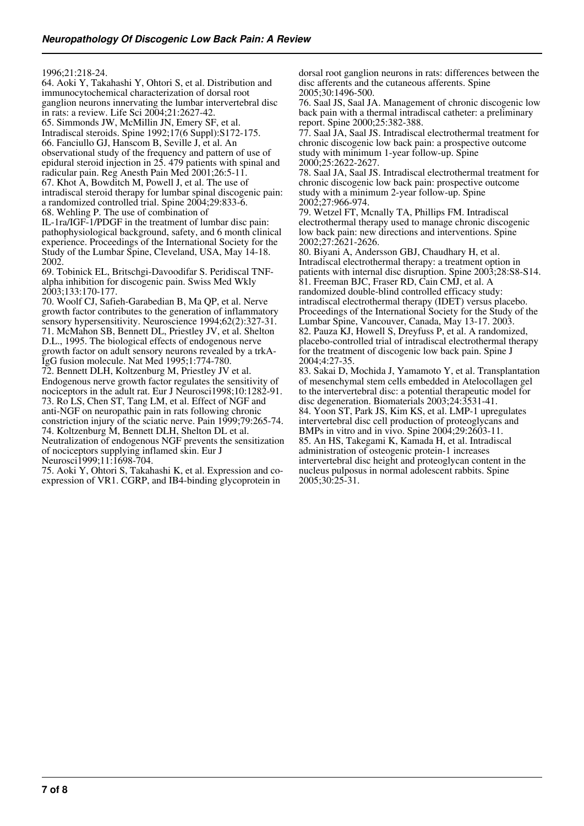1996;21:218-24.

64. Aoki Y, Takahashi Y, Ohtori S, et al. Distribution and immunocytochemical characterization of dorsal root ganglion neurons innervating the lumbar intervertebral disc in rats: a review. Life Sci 2004;21:2627-42. 65. Simmonds JW, McMillin JN, Emery SF, et al. Intradiscal steroids. Spine 1992;17(6 Suppl):S172-175. 66. Fanciullo GJ, Hanscom B, Seville J, et al. An observational study of the frequency and pattern of use of epidural steroid injection in 25. 479 patients with spinal and radicular pain. Reg Anesth Pain Med 2001;26:5-11.

67. Khot A, Bowditch M, Powell J, et al. The use of intradiscal steroid therapy for lumbar spinal discogenic pain:

a randomized controlled trial. Spine 2004;29:833-6. 68. Wehling P. The use of combination of

IL-1ra/IGF-1/PDGF in the treatment of lumbar disc pain: pathophysiological background, safety, and 6 month clinical experience. Proceedings of the International Society for the Study of the Lumbar Spine, Cleveland, USA, May 14-18. 2002.

69. Tobinick EL, Britschgi-Davoodifar S. Peridiscal TNFalpha inhibition for discogenic pain. Swiss Med Wkly 2003;133:170-177.

70. Woolf CJ, Safieh-Garabedian B, Ma QP, et al. Nerve growth factor contributes to the generation of inflammatory sensory hypersensitivity. Neuroscience 1994;62(2):327-31. 71. McMahon SB, Bennett DL, Priestley JV, et al. Shelton D.L., 1995. The biological effects of endogenous nerve growth factor on adult sensory neurons revealed by a trkA-IgG fusion molecule. Nat Med 1995;1:774-780.

72. Bennett DLH, Koltzenburg M, Priestley JV et al. Endogenous nerve growth factor regulates the sensitivity of nociceptors in the adult rat. Eur J Neurosci1998;10:1282-91. 73. Ro LS, Chen ST, Tang LM, et al. Effect of NGF and anti-NGF on neuropathic pain in rats following chronic constriction injury of the sciatic nerve. Pain 1999;79:265-74. 74. Koltzenburg M, Bennett DLH, Shelton DL et al.

Neutralization of endogenous NGF prevents the sensitization of nociceptors supplying inflamed skin. Eur J

Neurosci1999;11:1698-704.

75. Aoki Y, Ohtori S, Takahashi K, et al. Expression and coexpression of VR1. CGRP, and IB4-binding glycoprotein in

dorsal root ganglion neurons in rats: differences between the disc afferents and the cutaneous afferents. Spine 2005;30:1496-500.

76. Saal JS, Saal JA. Management of chronic discogenic low back pain with a thermal intradiscal catheter: a preliminary report. Spine 2000;25:382-388.

77. Saal JA, Saal JS. Intradiscal electrothermal treatment for chronic discogenic low back pain: a prospective outcome study with minimum 1-year follow-up. Spine 2000;25:2622-2627.

78. Saal JA, Saal JS. Intradiscal electrothermal treatment for chronic discogenic low back pain: prospective outcome study with a minimum 2-year follow-up. Spine 2002;27:966-974.

79. Wetzel FT, Mcnally TA, Phillips FM. Intradiscal electrothermal therapy used to manage chronic discogenic low back pain: new directions and interventions. Spine 2002;27:2621-2626.

80. Biyani A, Andersson GBJ, Chaudhary H, et al. Intradiscal electrothermal therapy: a treatment option in patients with internal disc disruption. Spine 2003;28:S8-S14. 81. Freeman BJC, Fraser RD, Cain CMJ, et al. A randomized double-blind controlled efficacy study: intradiscal electrothermal therapy (IDET) versus placebo. Proceedings of the International Society for the Study of the Lumbar Spine, Vancouver, Canada, May 13-17. 2003. 82. Pauza KJ, Howell S, Dreyfuss P, et al. A randomized, placebo-controlled trial of intradiscal electrothermal therapy for the treatment of discogenic low back pain. Spine J 2004;4:27-35.

83. Sakai D, Mochida J, Yamamoto Y, et al. Transplantation of mesenchymal stem cells embedded in Atelocollagen gel to the intervertebral disc: a potential therapeutic model for disc degeneration. Biomaterials 2003;24:3531-41. 84. Yoon ST, Park JS, Kim KS, et al. LMP-1 upregulates intervertebral disc cell production of proteoglycans and BMPs in vitro and in vivo. Spine 2004;29:2603-11. 85. An HS, Takegami K, Kamada H, et al. Intradiscal administration of osteogenic protein-1 increases intervertebral disc height and proteoglycan content in the nucleus pulposus in normal adolescent rabbits. Spine 2005;30:25-31.